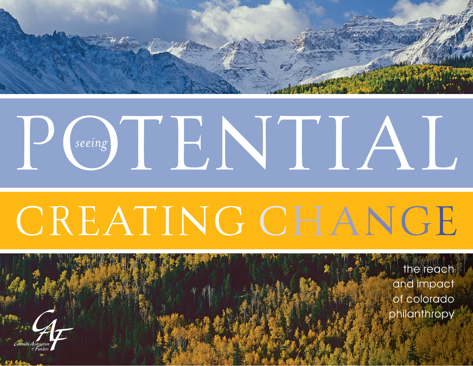

# P<sub>Seeing</sub> T<sub>B</sub>NTLAL

# CREATING CHANGE

the reach and impact of colorado philanthropy

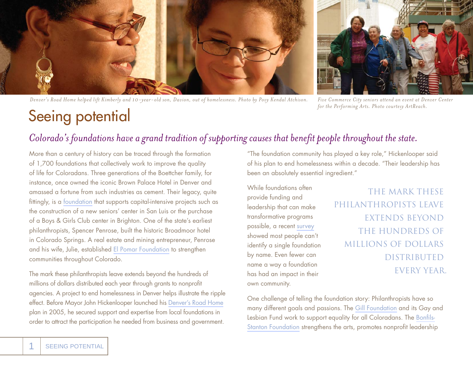

*Denver's Road Home helped lift Kimberly and 10-year-old son, Davion, out of homelessness. Photo by Povy Kendal Atchison. Five Commerce City seniors attend an event at Denver Center* 



*for the Performing Arts. Photo courtesy ArtReach.*

#### Seeing potential

#### *Colorado's foundations have a grand tradition of supporting causes that benefit people throughout the state.*

More than a century of history can be traced through the formation of 1,700 foundations that collectively work to improve the quality of life for Coloradans. Three generations of the Boettcher family, for instance, once owned the iconic Brown Palace Hotel in Denver and amassed a fortune from such industries as cement. Their legacy, quite fittingly, is a [foundation](www.boettcherfoundation.org) that supports capital-intensive projects such as the construction of a new seniors' center in San Luis or the purchase of a Boys & Girls Club center in Brighton. One of the state's earliest philanthropists, Spencer Penrose, built the historic Broadmoor hotel in Colorado Springs. A real estate and mining entrepreneur, Penrose and his wife, Julie, established [El Pomar Foundation](www.elpomar.org/) to strengthen communities throughout Colorado.

The mark these philanthropists leave extends beyond the hundreds of millions of dollars distributed each year through grants to nonprofit agencies. A project to end homelessness in Denver helps illustrate the ripple effect. Before Mayor John Hickenlooper launched his [Denver's Road Home](www.denversroadhome.org) plan in 2005, he secured support and expertise from local foundations in order to attract the participation he needed from business and government.

"The foundation community has played a key role," Hickenlooper said of his plan to end homelessness within a decade. "Their leadership has been an absolutely essential ingredient."

While foundations often provide funding and leadership that can make transformative programs possible, a recent [survey](www.philanthropyawareness.org/research-and-stories) showed most people can't identify a single foundation by name. Even fewer can name a way a foundation has had an impact in their own community.

#### THE MARK THESE PHILANTHROPISTS LEAVE EXTENDS BEYOND THE HUNDREDS OF MILLIONS OF DOLLARS DISTRIBUTED EVERY YEAR.

One challenge of telling the foundation story: Philanthropists have so many different goals and passions. The [Gill Foundation](www.gillfoundation.org) and its Gay and Lesbian Fund work to support equality for all Coloradans. The Bonfils-[Stanton Foundation](www.bonfils-stantonfoundation.org) strengthens the arts, promotes nonprofit leadership

1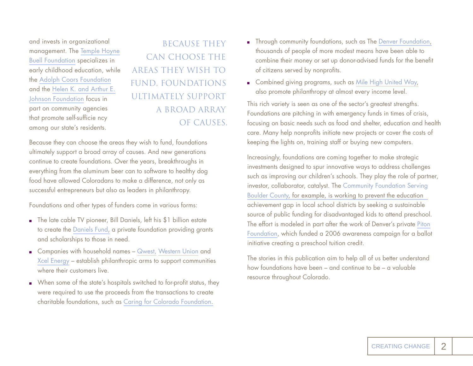and invests in organizational management. The [Temple Hoyne](www.buellfoundation.org) [Buell Foundation](www.buellfoundation.org) specializes in early childhood education, while the [Adolph Coors Foundation](www.adolphcoors.org) and the [Helen K. and Arthur E.](www.johnsonfoundation.org) [Johnson Foundation](www.johnsonfoundation.org) focus in part on community agencies that promote self-sufficie ncy among our state's residents.

 BECAUSE THEY CAN CHOOSE THE AREAS THEY WISH TO FUND, FOUNDATIONS ULTIMATELY SUPPORT A BROAD ARRAY OF CAUSES.

Because they can choose the areas they wish to fund, foundations ultimately support a broad array of causes. And new generations continue to create foundations. Over the years, breakthroughs in everything from the aluminum beer can to software to healthy dog food have allowed Coloradans to make a difference, not only as successful entrepreneurs but also as leaders in philanthropy.

Foundations and other types of funders come in various forms:

- The late cable TV pioneer, Bill Daniels, left his \$1 billion estate to create the [Daniels Fund,](www.danielsfund.org) a private foundation providing grants and scholarships to those in need.
- Companies with household names [Qwest,](www.qwest.com/about/company/community/foundation.html) [Western Union](http://foundation.westernunion.com/) and [Xcel Energy](www.xcelenergy.com/Colorado/Company/Community/Xcel%20Energy%20Foundation/Pages/Xcel_Energy_Foundation.aspx) – establish philanthropic arms to support communities where their customers live.
- When some of the state's hospitals switched to for-profit status, they were required to use the proceeds from the transactions to create charitable foundations, such as [Caring for Colorado Foundation.](www.caringforcolorado.org)
- **Through community foundations, such as The Denver Foundation,** thousands of people of more modest means have been able to combine their money or set up donor-advised funds for the benefit of citizens served by nonprofits.
- **EXECOMBINED EXECOMPTER** Combined giving programs, such as Mile High United Way, also promote philanthropy at almost every income level.

This rich variety is seen as one of the sector's greatest strengths. Foundations are pitching in with emergency funds in times of crisis, focusing on basic needs such as food and shelter, education and health care. Many help nonprofits initiate new projects or cover the costs of keeping the lights on, training staff or buying new computers.

Increasingly, foundations are coming together to make strategic investments designed to spur innovative ways to address challenges such as improving our children's schools. They play the role of partner, [investor, collaborator, catalyst. The Community Foundation Serving](www.commfound.org) Boulder County, for example, is working to prevent the education achievement gap in local school districts by seeking a sustainable source of public funding for disadvantaged kids to attend preschool. The effort is modeled in part after the work of Denver's private [Piton](www.piton.org)  [Foundation](www.piton.org), which funded a 2006 awareness campaign for a ballot initiative creating a preschool tuition credit.

The stories in this publication aim to help all of us better understand how foundations have been – and continue to be – a valuable resource throughout Colorado.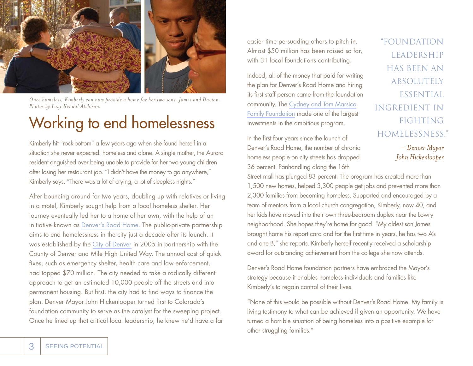

*Once homeless, Kimberly can now provide a home for her two sons, James and Davion. Photos by Povy Kendal Atchison.*

#### Working to end homelessness

Kimberly hit "rock-bottom" a few years ago when she found herself in a situation she never expected: homeless and alone. A single mother, the Aurora resident anguished over being unable to provide for her two young children after losing her restaurant job. "I didn't have the money to go anywhere," Kimberly says. "There was a lot of crying, a lot of sleepless nights."

After bouncing around for two years, doubling up with relatives or living in a motel, Kimberly sought help from a local homeless shelter. Her journey eventually led her to a home of her own, with the help of an initiative known as [Denver's Road Home.](www.denversroadhome.org) The public-private partnership aims to end homelessness in the city just a decade after its launch. It was established by the [City of Denver](www.denvergov.org) in 2005 in partnership with the County of Denver and Mile High United Way. The annual cost of quick fixes, such as emergency shelter, health care and law enforcement, had topped \$70 million. The city needed to take a radically different approach to get an estimated 10,000 people off the streets and into permanent housing. But first, the city had to find ways to finance the plan. Denver Mayor John Hickenlooper turned first to Colorado's foundation community to serve as the catalyst for the sweeping project. Once he lined up that critical local leadership, he knew he'd have a far

easier time persuading others to pitch in. Almost \$50 million has been raised so far, with 31 local foundations contributing.

Indeed, all of the money that paid for writing the plan for Denver's Road Home and hiring its first staff person came from the foundation community. The [Cydney and Tom Marsico](www.ctmfoundation.org/foundation.htm)  [Family Foundation](www.ctmfoundation.org/foundation.htm) made one of the largest investments in the ambitious program.

In the first four years since the launch of Denver's Road Home, the number of chronic homeless people on city streets has dropped 36 percent. Panhandling along the 16th

 "FOUNDATION LEADERSHIP HAS BEEN AN ABSOLUTELY **ESSENTIAL**  INGREDIENT IN FIGHTING HOMELESSNESS."

> *– Denver Mayor John Hickenlooper*

Street mall has plunged 83 percent. The program has created more than 1,500 new homes, helped 3,300 people get jobs and prevented more than 2,300 families from becoming homeless. Supported and encouraged by a team of mentors from a local church congregation, Kimberly, now 40, and her kids have moved into their own three-bedroom duplex near the Lowry neighborhood. She hopes they're home for good. "My oldest son James brought home his report card and for the first time in years, he has two A's and one B," she reports. Kimberly herself recently received a scholarship award for outstanding achievement from the college she now attends.

Denver's Road Home foundation partners have embraced the Mayor's strategy because it enables homeless individuals and families like Kimberly's to regain control of their lives.

"None of this would be possible without Denver's Road Home. My family is living testimony to what can be achieved if given an opportunity. We have turned a horrible situation of being homeless into a positive example for other struggling families."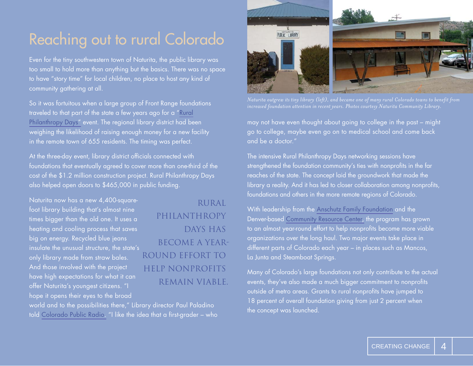#### Reaching out to rural Colorado

Even for the tiny southwestern town of Naturita, the public library was too small to hold more than anything but the basics. There was no space to have "story time" for local children, no place to host any kind of community gathering at all.

So it was fortuitous when a large group of Front Range foundations traveled to that part of the state a few years ago for a "[Rural](www.crcamerica.org/rpd)  [Philanthropy Days"](www.crcamerica.org/rpd) event. The regional library district had been weighing the likelihood of raising enough money for a new facility in the remote town of 655 residents. The timing was perfect.

At the three-day event, library district officials connected with foundations that eventually agreed to cover more than one-third of the cost of the \$1.2 million construction project. Rural Philanthropy Days also helped open doors to \$465,000 in public funding.

Naturita now has a new 4,400-squarefoot library building that's almost nine times bigger than the old one. It uses a heating and cooling process that saves big on energy. Recycled blue jeans insulate the unusual structure, the state's only library made from straw bales. And those involved with the project have high expectations for what it can offer Naturita's youngest citizens. "I hope it opens their eyes to the broad

 RURAL **PHILANTHROPY**  DAYS HAS BECOME A YEAR- ROUND EFFORT TO HELP NONPROFITS REMAIN VIABLE.

world and to the possibilities there," Library director Paul Paladino told [Colorado Public Radio.](www.cpr.org) "I like the idea that a first-grader – who



*Naturita outgrew its tiny library (left), and became one of many rural Colorado towns to benefit from* 

may not have even thought about going to college in the past – might go to college, maybe even go on to medical school and come back and be a doctor."

The intensive Rural Philanthropy Days networking sessions have strengthened the foundation community's ties with nonprofits in the far reaches of the state. The concept laid the groundwork that made the library a reality. And it has led to closer collaboration among nonprofits, foundations and others in the more remote regions of Colorado.

With leadership from the [Anschutz Family Foundation](www.anschutzfamilyfoundation.org) and the Denver-based [Community Resource Center,](www.crcamerica.org) the program has grown to an almost year-round effort to help nonprofits become more viable organizations over the long haul. Two major events take place in different parts of Colorado each year – in places such as Mancos, La Junta and Steamboat Springs.

Many of Colorado's large foundations not only contribute to the actual events, they've also made a much bigger commitment to nonprofits outside of metro areas. Grants to rural nonprofits have jumped to 18 percent of overall foundation giving from just 2 percent when the concept was launched.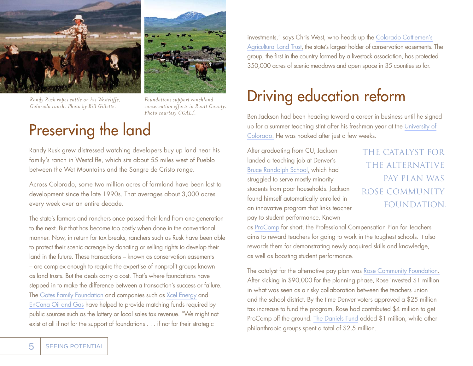



*Randy Rusk ropes cattle on his Westcliffe, Colorado ranch. Photo by Bill Gillette.*

*Foundations support ranchland conservation efforts in Routt County. Photo courtesy CCALT.*

#### Preserving the land

Randy Rusk grew distressed watching developers buy up land near his family's ranch in Westcliffe, which sits about 55 miles west of Pueblo between the Wet Mountains and the Sangre de Cristo range.

Across Colorado, some two million acres of farmland have been lost to development since the late 1990s. That averages about 3,000 acres every week over an entire decade.

The state's farmers and ranchers once passed their land from one generation to the next. But that has become too costly when done in the conventional manner. Now, in return for tax breaks, ranchers such as Rusk have been able to protect their scenic acreage by donating or selling rights to develop their land in the future. These transactions – known as conservation easements – are complex enough to require the expertise of nonprofit groups known as land trusts. But the deals carry a cost. That's where foundations have stepped in to make the difference between a transaction's success or failure. The [Gates Family Foundation](www.gatesfamilyfoundation.org) and companies such as [Xcel Energy](www.xcelenergy.com/Colorado/Company/Community/Xcel%20Energy%20Foundation/Pages/Xcel_Energy_Foundation.aspx) and [EnCana Oil and Gas](www.encana.com) have helped to provide matching funds required by public sources such as the lottery or local sales tax revenue. "We might not exist at all if not for the support of foundations . . . if not for their strategic

investments," says Chris West, who heads up the [Colorado Cattlemen's](www.ccalt.org) [Agricultural Land Trust,](www.ccalt.org) the state's largest holder of conservation easements. The group, the first in the country formed by a livestock association, has protected 350,000 acres of scenic meadows and open space in 35 counties so far.

## Driving education reform

Ben Jackson had been heading toward a career in business until he signed up for a summer teaching stint after his freshman year at the [University of](www.colorado.edu)  [Colorado.](www.colorado.edu) He was hooked after just a few weeks.

After graduating from CU, Jackson landed a teaching job at Denver's [Bruce Randolph School,](randolph.dpsk12.org) which had struggled to serve mostly minority students from poor households. Jackson found himself automatically enrolled in an innovative program that links teacher pay to student performance. Known

 THE CATALYST FOR THE ALTERNATIVE PAY PLAN WAS ROSE COMMUNITY FOUNDATION.

as [ProComp](denverprocomp.dpsk12.org) for short, the Professional Compensation Plan for Teachers aims to reward teachers for going to work in the toughest schools. It also rewards them for demonstrating newly acquired skills and knowledge, as well as boosting student performance.

The catalyst for the alternative pay plan was [Rose Community Foundation.](www.rcfdenver.org) After kicking in \$90,000 for the planning phase, Rose invested \$1 million in what was seen as a risky collaboration between the teachers union and the school district. By the time Denver voters approved a \$25 million tax increase to fund the program, Rose had contributed \$4 million to get ProComp off the ground. [The Daniels Fund](www.danielsfund.org) added \$1 million, while other philanthropic groups spent a total of \$2.5 million.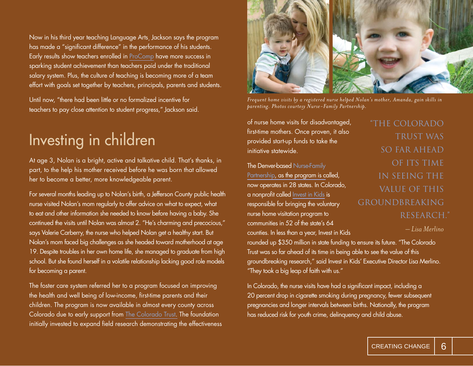Now in his third year teaching Language Arts¸ Jackson says the program has made a "significant difference" in the performance of his students. Early results show teachers enrolled in [ProComp](http://denverprocomp.dpsk12.org/) have more success in sparking student achievement than teachers paid under the traditional salary system. Plus, the culture of teaching is becoming more of a team effort with goals set together by teachers, principals, parents and students.

Until now, "there had been little or no formalized incentive for teachers to pay close attention to student progress," Jackson said.

#### Investing in children

At age 3, Nolan is a bright, active and talkative child. That's thanks, in part, to the help his mother received before he was born that allowed her to become a better, more knowledgeable parent.

For several months leading up to Nolan's birth, a Jefferson County public health nurse visited Nolan's mom regularly to offer advice on what to expect, what to eat and other information she needed to know before having a baby. She continued the visits until Nolan was almost 2. "He's charming and precocious," says Valerie Carberry, the nurse who helped Nolan get a healthy start. But Nolan's mom faced big challenges as she headed toward motherhood at age 19. Despite troubles in her own home life, she managed to graduate from high school. But she found herself in a volatile relationship lacking good role models for becoming a parent.

The foster care system referred her to a program focused on improving the health and well being of low-income, first-time parents and their children. The program is now available in almost every county across Colorado due to early support from [The Colorado Trust.](www.coloradotrust.org) The foundation initially invested to expand field research demonstrating the effectiveness



*Frequent home visits by a registered nurse helped Nolan's mother, Amanda, gain skills in parenting. Photos courtesy Nurse-Family Partnership.*

of nurse home visits for disadvantaged, first-time mothers. Once proven, it also provided start-up funds to take the initiative statewide.

[The Denver-based Nurse-Family](www.nursefamilypartnership.org) Partnership, as the program is called, now operates in 28 states. In Colorado, a nonprofit called [Invest in Kids](www.iik.org) is responsible for bringing the voluntary nurse home visitation program to communities in 52 of the state's 64 counties. In less than a year, Invest in Kids

 "THE COLORADO TRUST WAS SO FAR AHEAD OF ITS TIME IN SEEING THE VALUE OF THIS GROUNDBREAKING RESEARCH."

 *– Lisa Merlino*

rounded up \$350 million in state funding to ensure its future. "The Colorado Trust was so far ahead of its time in being able to see the value of this groundbreaking research," said Invest in Kids' Executive Director Lisa Merlino. "They took a big leap of faith with us."

In Colorado, the nurse visits have had a significant impact, including a 20 percent drop in cigarette smoking during pregnancy, fewer subsequent pregnancies and longer intervals between births. Nationally, the program has reduced risk for youth crime, delinquency and child abuse.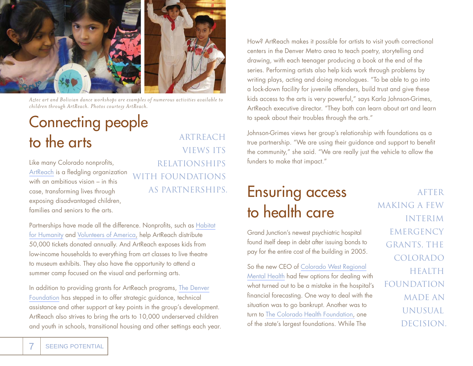

*Aztec art and Bolivian dance workshops are examples of numerous activities available to children through ArtReach. Photos courtesy ArtReach.*

## Connecting people to the arts

Like many Colorado nonprofits, [ArtReach](www.artreachdenver.org) is a fledgling organization with an ambitious vision – in this case, transforming lives through exposing disadvantaged children, families and seniors to the arts.

 ARTREACH VIEWS ITS RELATIONSHIPS WITH FOUNDATIONS

Partnerships have made all the difference. Nonprofits, such as Habitat [for Humanity](www.habitatmetrodenver.org) and [Volunteers of America,](www.voacolorado.org) help ArtReach distribute 50,000 tickets donated annually. And ArtReach exposes kids from low-income households to everything from art classes to live theatre to museum exhibits. They also have the opportunity to attend a summer camp focused on the visual and performing arts.

In addition to providing grants for ArtReach programs, [The Denver](www.denverfoundation.org) [Foundation](www.denverfoundation.org) has stepped in to offer strategic guidance, technical assistance and other support at key points in the group's development. ArtReach also strives to bring the arts to 10,000 underserved children and youth in schools, transitional housing and other settings each year. How? ArtReach makes it possible for artists to visit youth correctional centers in the Denver Metro area to teach poetry, storytelling and drawing, with each teenager producing a book at the end of the series. Performing artists also help kids work through problems by writing plays, acting and doing monologues. "To be able to go into a lock-down facility for juvenile offenders, build trust and give these kids access to the arts is very powerful," says Karla Johnson-Grimes, ArtReach executive director. "They both can learn about art and learn to speak about their troubles through the arts."

Johnson-Grimes views her group's relationship with foundations as a true partnership. "We are using their guidance and support to benefit the community," she said. "We are really just the vehicle to allow the funders to make that impact."

#### AS PARTNERSHIPS. **Ensuring access** AFTER to health care

Grand Junction's newest psychiatric hospital found itself deep in debt after issuing bonds to pay for the entire cost of the building in 2005.

So the new CEO of [Colorado West Regional](www.cwrmhc.org) [Mental Health](www.cwrmhc.org) had few options for dealing with what turned out to be a mistake in the hospital's financial forecasting. One way to deal with the situation was to go bankrupt. Another was to turn to [The Colorado Health Foundation,](http://www.coloradohealth.org/) one of the state's largest foundations. While The

 MAKING A FEW INTERIM **EMERGENCY**  GRANTS, THE COLORADO HEALTH FOUNDATION MADE AN UNUSUAL DECISION.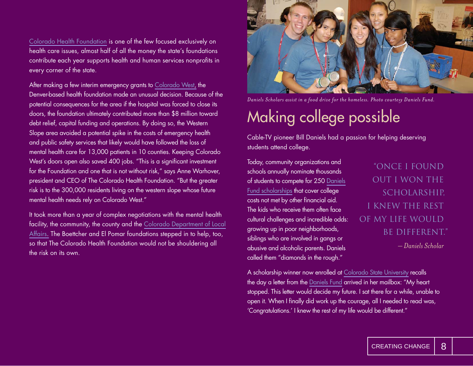[Colorado Health Foundation](http://www.coloradohealth.org/) is one of the few focused exclusively on health care issues, almost half of all the money the state's foundations contribute each year supports health and human services nonprofits in every corner of the state.

After making a few interim emergency grants to [Colorado West,](www.cwrmhc.org) the Denver-based health foundation made an unusual decision. Because of the potential consequences for the area if the hospital was forced to close its doors, the foundation ultimately contributed more than \$8 million toward debt relief, capital funding and operations. By doing so, the Western Slope area avoided a potential spike in the costs of emergency health and public safety services that likely would have followed the loss of mental health care for 13,000 patients in 10 counties. Keeping Colorado West's doors open also saved 400 jobs. "This is a significant investment for the Foundation and one that is not without risk," says Anne Warhover, president and CEO of The Colorado Health Foundation. "But the greater risk is to the 300,000 residents living on the western slope whose future mental health needs rely on Colorado West."

It took more than a year of complex negotiations with the mental health facility, the community, the county and the [Colorado Department of Local](www.dola.state.co.us) [Affairs.](www.dola.state.co.us) The Boettcher and El Pomar foundations stepped in to help, too, so that The Colorado Health Foundation would not be shouldering all the risk on its own.



*Daniels Scholars assist in a food drive for the homeless. Photo courtesy Daniels Fund.*

## Making college possible

Cable-TV pioneer Bill Daniels had a passion for helping deserving students attend college.

Today, community organizations and schools annually nominate thousands of students to compete for 250 [Daniels](www.danielsfund.org/scholarships) [Fund scholarships](www.danielsfund.org/scholarships) that cover college costs not met by other financial aid. The kids who receive them often face cultural challenges and incredible odds: growing up in poor neighborhoods, siblings who are involved in gangs or abusive and alcoholic parents. Daniels called them "diamonds in the rough."

 "ONCE I FOUND OUT I WON THE SCHOLARSHIP, I KNEW THE REST OF MY LIFE WOULD BE DIFFERENT." *– Daniels Scholar*

A scholarship winner now enrolled at [Colorado State University](www.colostate.edu) recalls the day a letter from the [Daniels Fund](www.danielsfund.org) arrived in her mailbox: "My heart stopped. This letter would decide my future. I sat there for a while, unable to open it. When I finally did work up the courage, all I needed to read was, 'Congratulations.' I knew the rest of my life would be different."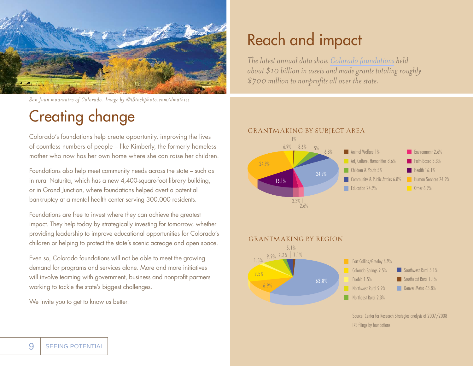

*San Juan mountains of Colorado. Image by ©iStockphoto.com/dmathies*

#### Creating change

Colorado's foundations help create opportunity, improving the lives of countless numbers of people – like Kimberly, the formerly homeless mother who now has her own home where she can raise her children.

Foundations also help meet community needs across the state – such as in rural Naturita, which has a new 4,400-square-foot library building, or in Grand Junction, where foundations helped avert a potential bankruptcy at a mental health center serving 300,000 residents.

Foundations are free to invest where they can achieve the greatest impact. They help today by strategically investing for tomorrow, whether providing leadership to improve educational opportunities for Colorado's children or helping to protect the state's scenic acreage and open space.

Even so, Colorado foundations will not be able to meet the growing demand for programs and services alone. More and more initiatives will involve teaming with government, business and nonprofit partners working to tackle the state's biggest challenges.

We invite you to get to know us better.

#### Reach and impact

*The latest annual data show [Colorado foundations](www.coloradofunders.org) held about \$10 billion in assets and made grants totaling roughly \$700 million to nonprofits all over the state.* 







Source: Center for Research Strategies analysis of 2007/2008 IRS filings by foundations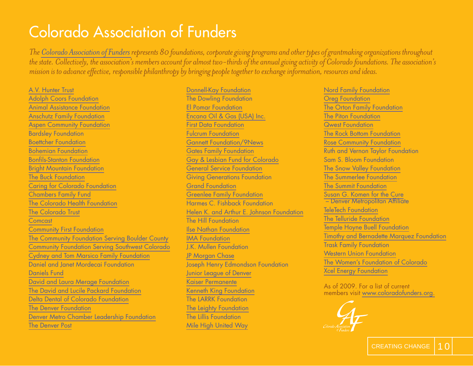#### Colorado Association of Funders

*The [Colorado Association of Funders r](www.coloradofunders.org)epresents 80 foundations, corporate giving programs and other types of grantmaking organizations throughout the state. Collectively, the association's members account for almost two-thirds of the annual giving activity of Colorado foundations. The association's mission is to advance effective, responsible philanthropy by bringing people together to exchange information, resources and ideas.*

[A.V. Hunter Trust](www.avhuntertrust.org) [Adolph Coors Foundation](www.adolphcoors.org) [Animal Assistance Foundation](http://www.aaf-fd.org/) [Anschutz Family Foundation](www.anschutzfamilyfoundation.org) [Aspen Community Foundation](www.aspencommunityfoundation.org) Bardsley Foundation [Boettcher Foundation](www.boettcherfoundation.org) [Bohemian Foundation](www.bohemianfoundation.org) Bonfils-Stanton Foundation [Bright Mountain Foundation](www.brightmtnfdtn.org) [The Buck Foundation](www.thebuckfoundation.org) [Caring for Colorado Foundation](www.caringforcolorado.org) [Chambers Family Fund](www.chambersfund.org) [The Colorado Health Foundation](www.coloradohealth.org) [The Colorado Trust](www.coloradotrust.org) [Comcast](www.comcast.com/corporate/about/inthecommunity/foundation/comcastfoundation.html) [Community First Foundation](www.communityfirstfoundation.org) [The Community Foundation Serving Boulder County](www.commfound.org) [Community Foundation Serving Southwest Colorado](www.swcommunityfoundation.org) [Cydney and Tom Marsico Family Foundation](www.ctmfoundation.org/foundation.htm) Daniel and Janet Mordecai Foundation [Daniels Fund](www.danielsfund.org) [David and Laura Merage Foundation](www.merage.org) [The David and Lucile Packard Foundation](www.packard.org) [Delta Dental of Colorado Foundation](www.deltadentalco.com/deltadentalfoundation.aspx) [The Denver Foundation](www.denverfoundation.org) [Denver Metro Chamber Leadership Foundation](www.denverleadership.org) [The Denver Post](www.denverpost.com)

[Donnell-Kay Foundation](www.dkfoundation.org) The Dowling Foundation [El Pomar Foundation](www.elpomar.org) [Encana Oil & Gas \(USA\) Inc.](www.encana.com) [First Data Foundation](www.firstdata.com/en_us/about-first-data/community-involvement/first-data-foundation) [Fulcrum Foundation](www.fulcrumfdn.com) [Gannett Foundation/9News](www.gannettfoundation.org) [Gates Family Foundation](www.gatesfamilyfoundation.org) [Gay & Lesbian Fund for Colorado](www.gayandlesbianfund.org) [General Service Foundation](www.generalservice.org) Giving Generations Foundation [Grand Foundation](www.grandfoundation.com) [Greenlee Family Foundation](www.greenleefamilyfoundation.org) Harmes C. Fishback Foundation [Helen K. and Arthur E. Johnson Foundation](www.johnsonfoundation.org) The Hill Foundation [Ilse Nathan Foundation](www.ilsenathan.org) [IMA Foundation](www.imacorp.com) J.K. Mullen Foundation [JP Morgan Chase](www.jpmorganchase.com) Joseph Henry Edmondson Foundation [Junior League of Denver](www.jld.org) [Kaiser Permanente](www.kaiserpermanente.org) [Kenneth King Foundation](www.kennethkingfoundation.org) The LARRK Foundation [The Leighty Foundation](www.leightyfoundation.org) The Lillis Foundation [Mile High United Way](www.unitedwaydenver.org)

[Nord Family Foundation](www.nordff.org) [Oreg Foundation](www.oregfoundation.org) [The Orton Family Foundation](www.orton.org) [The Piton Foundation](www.piton.org) [Qwest Foundation](www.qwest.com/foundation) [The Rock Bottom Foundation](www.rockbottomfoundation.org) [Rose Community Foundation](www.rcfdenver.org) Ruth and Vernon Taylor Foundation Sam S. Bloom Foundation [The Snow Valley Foundation](www.snowvalley.org) [The Summerlee Foundation](www.summerlee.org) [The Summit Foundation](www.summitfoundation.org) [Susan G. Komen for the Cure](www.komendenver.org)  – Denver Metropolitan Affiliate [TeleTech Foundation](www.teletech.com/EN-US/About/TeleTechFoundation) [The Telluride Foundation](www.telluridefoundation.org) [Temple Hoyne Buell Foundation](www.buellfoundation.org)  [Timothy and Bernadette Marquez Foundation](www.tbmfoundation.org) Trask Family Foundation [Western Union Foundation](foundation.westernunion.com) [The Women's Foundation of Colorado](www.wfco.org) [Xcel Energy Foundation](www.xcelenergy.com/Colorado/Company/Community/Xcel%20Energy%20Foundation/Pages/Xcel_Energy_Foundation.aspx)

As of 2009. For a list of current members visit [www.coloradofunders.org.](www.coloradofunders.org)